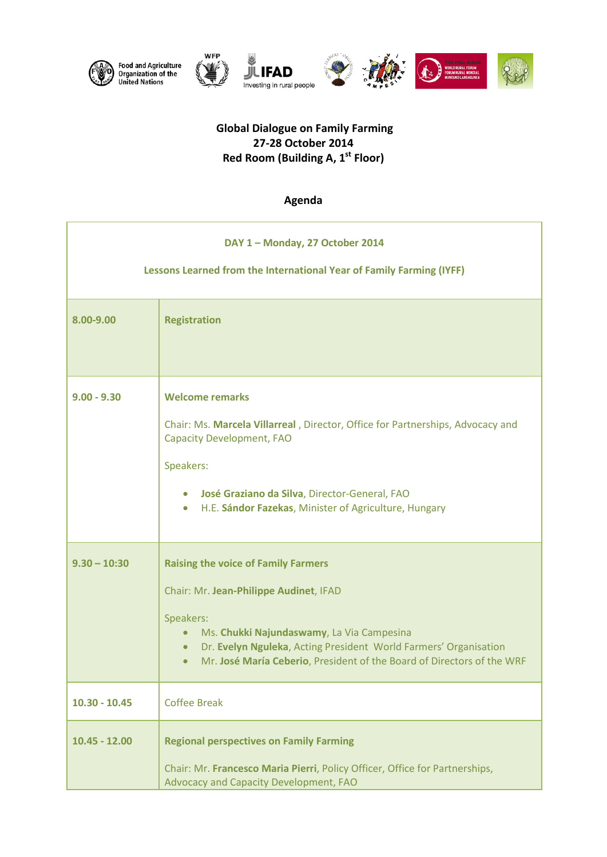





## **Global Dialogue on Family Farming 27-28 October 2014 Red Room (Building A, 1st Floor)**

**JULIFAD** 

## **Agenda**

| DAY 1 - Monday, 27 October 2014<br>Lessons Learned from the International Year of Family Farming (IYFF) |                                                                                                                                                                                                                                                                                                                        |  |
|---------------------------------------------------------------------------------------------------------|------------------------------------------------------------------------------------------------------------------------------------------------------------------------------------------------------------------------------------------------------------------------------------------------------------------------|--|
| 8.00-9.00                                                                                               | <b>Registration</b>                                                                                                                                                                                                                                                                                                    |  |
| $9.00 - 9.30$                                                                                           | <b>Welcome remarks</b><br>Chair: Ms. Marcela Villarreal, Director, Office for Partnerships, Advocacy and<br><b>Capacity Development, FAO</b><br>Speakers:<br>José Graziano da Silva, Director-General, FAO<br>$\bullet$<br>H.E. Sándor Fazekas, Minister of Agriculture, Hungary<br>$\bullet$                          |  |
| $9.30 - 10:30$                                                                                          | <b>Raising the voice of Family Farmers</b><br>Chair: Mr. Jean-Philippe Audinet, IFAD<br>Speakers:<br>Ms. Chukki Najundaswamy, La Via Campesina<br>$\bullet$<br>Dr. Evelyn Nguleka, Acting President World Farmers' Organisation<br>$\bullet$<br>Mr. José María Ceberio, President of the Board of Directors of the WRF |  |
| $10.30 - 10.45$                                                                                         | <b>Coffee Break</b>                                                                                                                                                                                                                                                                                                    |  |
| $10.45 - 12.00$                                                                                         | <b>Regional perspectives on Family Farming</b><br>Chair: Mr. Francesco Maria Pierri, Policy Officer, Office for Partnerships,<br>Advocacy and Capacity Development, FAO                                                                                                                                                |  |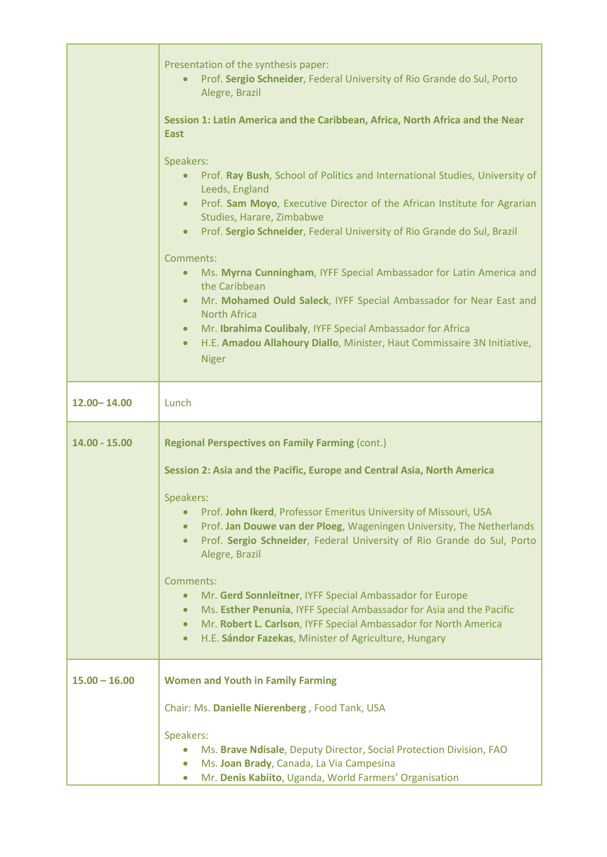|                 | Presentation of the synthesis paper:<br>Prof. Sergio Schneider, Federal University of Rio Grande do Sul, Porto<br>$\bullet$<br>Alegre, Brazil<br>Session 1: Latin America and the Caribbean, Africa, North Africa and the Near<br><b>East</b><br>Speakers:<br>Prof. Ray Bush, School of Politics and International Studies, University of<br>$\bullet$<br>Leeds, England<br>Prof. Sam Moyo, Executive Director of the African Institute for Agrarian<br>$\bullet$<br>Studies, Harare, Zimbabwe<br>Prof. Sergio Schneider, Federal University of Rio Grande do Sul, Brazil<br>$\bullet$<br>Comments:<br>Ms. Myrna Cunningham, IYFF Special Ambassador for Latin America and<br>$\bullet$<br>the Caribbean<br>Mr. Mohamed Ould Saleck, IYFF Special Ambassador for Near East and<br>$\bullet$<br><b>North Africa</b><br>Mr. Ibrahima Coulibaly, IYFF Special Ambassador for Africa<br>$\bullet$<br>H.E. Amadou Allahoury Diallo, Minister, Haut Commissaire 3N Initiative,<br>$\bullet$<br><b>Niger</b> |
|-----------------|-------------------------------------------------------------------------------------------------------------------------------------------------------------------------------------------------------------------------------------------------------------------------------------------------------------------------------------------------------------------------------------------------------------------------------------------------------------------------------------------------------------------------------------------------------------------------------------------------------------------------------------------------------------------------------------------------------------------------------------------------------------------------------------------------------------------------------------------------------------------------------------------------------------------------------------------------------------------------------------------------------|
| 12.00 - 14.00   | Lunch                                                                                                                                                                                                                                                                                                                                                                                                                                                                                                                                                                                                                                                                                                                                                                                                                                                                                                                                                                                                 |
| $14.00 - 15.00$ | <b>Regional Perspectives on Family Farming (cont.)</b><br>Session 2: Asia and the Pacific, Europe and Central Asia, North America<br>Speakers:<br>Prof. John Ikerd, Professor Emeritus University of Missouri, USA<br>$\bullet$<br>Prof. Jan Douwe van der Ploeg, Wageningen University, The Netherlands<br>$\bullet$<br>Prof. Sergio Schneider, Federal University of Rio Grande do Sul, Porto<br>$\bullet$<br>Alegre, Brazil<br>Comments:<br>Mr. Gerd Sonnleitner, IYFF Special Ambassador for Europe<br>$\bullet$<br>Ms. Esther Penunia, IYFF Special Ambassador for Asia and the Pacific<br>$\bullet$<br>Mr. Robert L. Carlson, IYFF Special Ambassador for North America<br>$\bullet$<br>H.E. Sándor Fazekas, Minister of Agriculture, Hungary<br>$\bullet$                                                                                                                                                                                                                                      |
| $15.00 - 16.00$ | <b>Women and Youth in Family Farming</b><br>Chair: Ms. Danielle Nierenberg, Food Tank, USA<br>Speakers:<br>Ms. Brave Ndisale, Deputy Director, Social Protection Division, FAO<br>$\bullet$<br>Ms. Joan Brady, Canada, La Via Campesina<br>$\bullet$<br>Mr. Denis Kabiito, Uganda, World Farmers' Organisation<br>$\bullet$                                                                                                                                                                                                                                                                                                                                                                                                                                                                                                                                                                                                                                                                           |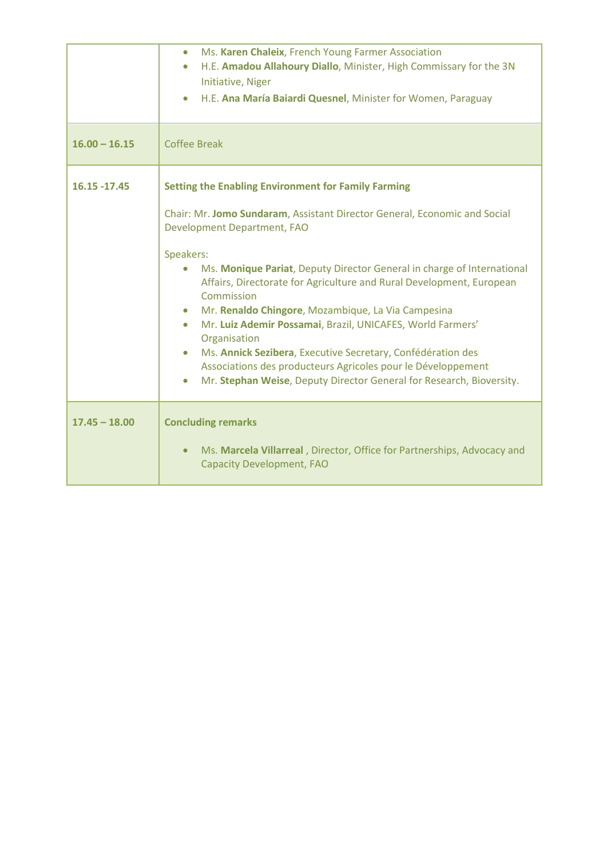|                 | Ms. Karen Chaleix, French Young Farmer Association<br>$\bullet$<br>H.E. Amadou Allahoury Diallo, Minister, High Commissary for the 3N<br>$\bullet$<br>Initiative, Niger<br>H.E. Ana María Baiardi Quesnel, Minister for Women, Paraguay<br>$\bullet$                                                                                                                                                                                                                                                                                                                                                                                                                                                                                               |
|-----------------|----------------------------------------------------------------------------------------------------------------------------------------------------------------------------------------------------------------------------------------------------------------------------------------------------------------------------------------------------------------------------------------------------------------------------------------------------------------------------------------------------------------------------------------------------------------------------------------------------------------------------------------------------------------------------------------------------------------------------------------------------|
| $16.00 - 16.15$ | <b>Coffee Break</b>                                                                                                                                                                                                                                                                                                                                                                                                                                                                                                                                                                                                                                                                                                                                |
| 16.15 - 17.45   | <b>Setting the Enabling Environment for Family Farming</b><br>Chair: Mr. Jomo Sundaram, Assistant Director General, Economic and Social<br>Development Department, FAO<br>Speakers:<br>Ms. Monique Pariat, Deputy Director General in charge of International<br>Affairs, Directorate for Agriculture and Rural Development, European<br>Commission<br>Mr. Renaldo Chingore, Mozambique, La Via Campesina<br>$\bullet$<br>Mr. Luiz Ademir Possamai, Brazil, UNICAFES, World Farmers'<br>$\bullet$<br>Organisation<br>Ms. Annick Sezibera, Executive Secretary, Confédération des<br>$\bullet$<br>Associations des producteurs Agricoles pour le Développement<br>Mr. Stephan Weise, Deputy Director General for Research, Bioversity.<br>$\bullet$ |
| $17.45 - 18.00$ | <b>Concluding remarks</b><br>Ms. Marcela Villarreal, Director, Office for Partnerships, Advocacy and<br>$\bullet$<br><b>Capacity Development, FAO</b>                                                                                                                                                                                                                                                                                                                                                                                                                                                                                                                                                                                              |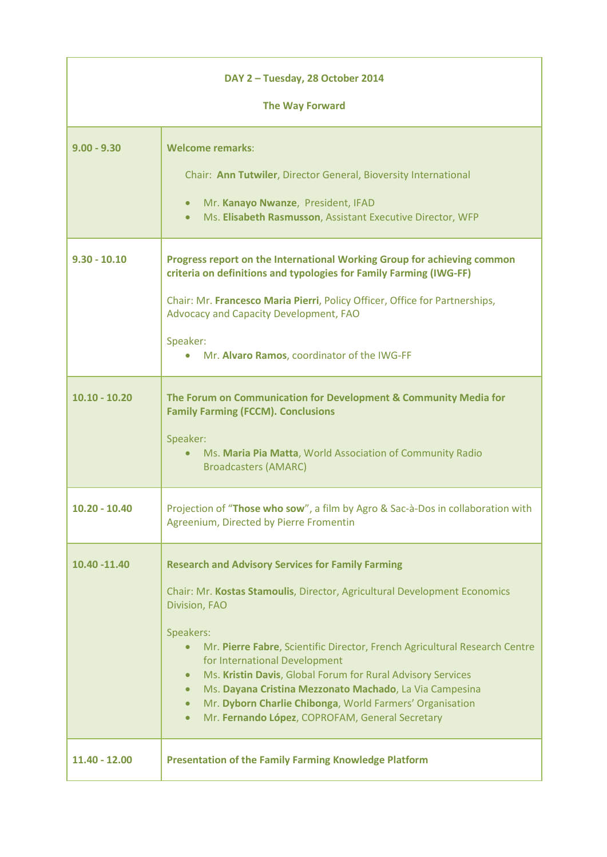| DAY 2 - Tuesday, 28 October 2014<br><b>The Way Forward</b> |                                                                                                                                                                                                                                                                                                                                                                                                                                                                                                                                                                                 |
|------------------------------------------------------------|---------------------------------------------------------------------------------------------------------------------------------------------------------------------------------------------------------------------------------------------------------------------------------------------------------------------------------------------------------------------------------------------------------------------------------------------------------------------------------------------------------------------------------------------------------------------------------|
|                                                            |                                                                                                                                                                                                                                                                                                                                                                                                                                                                                                                                                                                 |
| $9.00 - 9.30$                                              | <b>Welcome remarks:</b><br>Chair: Ann Tutwiler, Director General, Bioversity International<br>Mr. Kanayo Nwanze, President, IFAD<br>$\bullet$<br>Ms. Elisabeth Rasmusson, Assistant Executive Director, WFP<br>$\bullet$                                                                                                                                                                                                                                                                                                                                                        |
| $9.30 - 10.10$                                             | Progress report on the International Working Group for achieving common<br>criteria on definitions and typologies for Family Farming (IWG-FF)<br>Chair: Mr. Francesco Maria Pierri, Policy Officer, Office for Partnerships,<br>Advocacy and Capacity Development, FAO<br>Speaker:<br>Mr. Alvaro Ramos, coordinator of the IWG-FF                                                                                                                                                                                                                                               |
| $10.10 - 10.20$                                            | The Forum on Communication for Development & Community Media for<br><b>Family Farming (FCCM). Conclusions</b><br>Speaker:<br>Ms. Maria Pia Matta, World Association of Community Radio<br>$\bullet$<br><b>Broadcasters (AMARC)</b>                                                                                                                                                                                                                                                                                                                                              |
| $10.20 - 10.40$                                            | Projection of "Those who sow", a film by Agro & Sac-à-Dos in collaboration with<br>Agreenium, Directed by Pierre Fromentin                                                                                                                                                                                                                                                                                                                                                                                                                                                      |
| 10.40 - 11.40                                              | <b>Research and Advisory Services for Family Farming</b><br>Chair: Mr. Kostas Stamoulis, Director, Agricultural Development Economics<br>Division, FAO<br>Speakers:<br>Mr. Pierre Fabre, Scientific Director, French Agricultural Research Centre<br>for International Development<br>Ms. Kristin Davis, Global Forum for Rural Advisory Services<br>$\bullet$<br>Ms. Dayana Cristina Mezzonato Machado, La Via Campesina<br>$\bullet$<br>Mr. Dyborn Charlie Chibonga, World Farmers' Organisation<br>$\bullet$<br>Mr. Fernando López, COPROFAM, General Secretary<br>$\bullet$ |
| 11.40 - 12.00                                              | <b>Presentation of the Family Farming Knowledge Platform</b>                                                                                                                                                                                                                                                                                                                                                                                                                                                                                                                    |